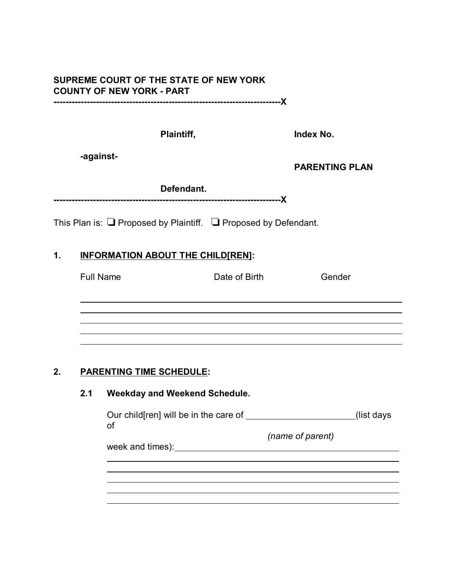# **SUPREME COURT OF THE STATE OF NEW YORK COUNTY OF NEW YORK - PART**

**---------------------------------------------------------------------------X**

**Plaintiff, Index No.**

**-against-**

**PARENTING PLAN**

| Defendant. |
|------------|
|            |

This Plan is:  $\Box$  Proposed by Plaintiff.  $\Box$  Proposed by Defendant.

### **1. INFORMATION ABOUT THE CHILD[REN]:**

| Full Name | Date of Birth | Gender |
|-----------|---------------|--------|
|           |               |        |
|           |               |        |
|           |               |        |
|           |               |        |
|           |               |        |

### **2. PARENTING TIME SCHEDULE:**

 $\overline{a}$ 

### **2.1 Weekday and Weekend Schedule.**

| Our child [ren] will be in the care of |                  | (list days) |
|----------------------------------------|------------------|-------------|
| Οf                                     |                  |             |
|                                        | (name of parent) |             |

week and times): week and times):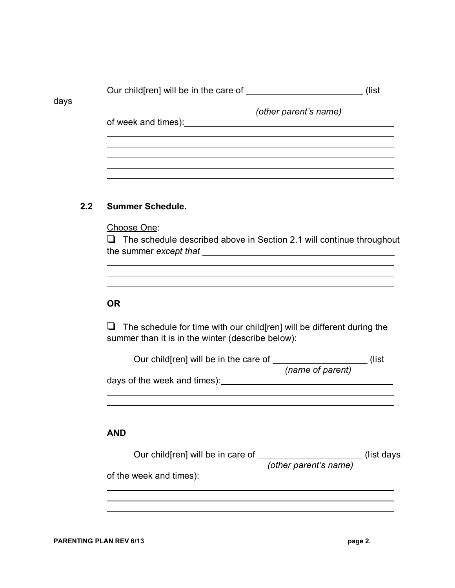|      | Our child [ren] will be in the care of |                       | (list |
|------|----------------------------------------|-----------------------|-------|
| days | of week and times):                    | (other parent's name) |       |
|      |                                        |                       |       |
|      |                                        |                       |       |

### **2.2 Summer Schedule.**

Choose One:

 $\Box$  The schedule described above in Section 2.1 will continue throughout the summer *except that*

### **OR**

 $\overline{a}$ 

 $\Box$  The schedule for time with our child[ren] will be different during the summer than it is in the winter (describe below):

|                                                                                                                                                                                                                                |                       | (list       |
|--------------------------------------------------------------------------------------------------------------------------------------------------------------------------------------------------------------------------------|-----------------------|-------------|
|                                                                                                                                                                                                                                | (name of parent)      |             |
| days of the week and times): Notified the state of the week and times in the state of the state of the state of the state of the state of the state of the state of the state of the state of the state of the state of the st |                       |             |
|                                                                                                                                                                                                                                |                       |             |
|                                                                                                                                                                                                                                |                       |             |
|                                                                                                                                                                                                                                |                       |             |
| <b>AND</b>                                                                                                                                                                                                                     |                       |             |
|                                                                                                                                                                                                                                |                       | (list days) |
|                                                                                                                                                                                                                                | (other parent's name) |             |
| of the week and times):                                                                                                                                                                                                        |                       |             |
|                                                                                                                                                                                                                                |                       |             |
|                                                                                                                                                                                                                                |                       |             |
|                                                                                                                                                                                                                                |                       |             |
|                                                                                                                                                                                                                                |                       |             |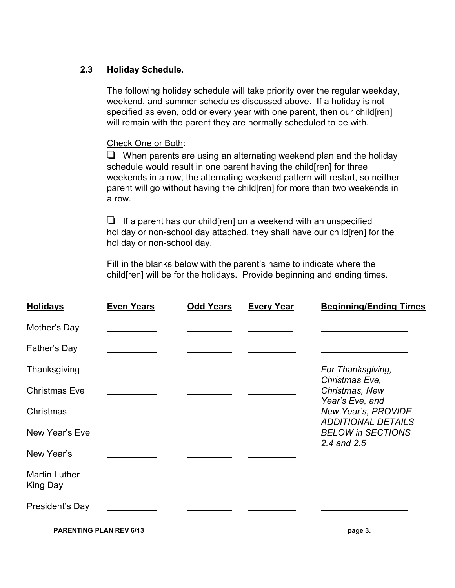### **2.3 Holiday Schedule.**

The following holiday schedule will take priority over the regular weekday, weekend, and summer schedules discussed above. If a holiday is not specified as even, odd or every year with one parent, then our child[ren] will remain with the parent they are normally scheduled to be with.

### Check One or Both:

 $\Box$  When parents are using an alternating weekend plan and the holiday schedule would result in one parent having the child[ren] for three weekends in a row, the alternating weekend pattern will restart, so neither parent will go without having the child[ren] for more than two weekends in a row.

 $\Box$  If a parent has our child [ren] on a weekend with an unspecified holiday or non-school day attached, they shall have our child[ren] for the holiday or non-school day.

Fill in the blanks below with the parent's name to indicate where the child[ren] will be for the holidays. Provide beginning and ending times.

| <b>Holidays</b>                  | <b>Even Years</b> | <b>Odd Years</b> | <b>Every Year</b> | <b>Beginning/Ending Times</b>                         |
|----------------------------------|-------------------|------------------|-------------------|-------------------------------------------------------|
| Mother's Day                     |                   |                  |                   |                                                       |
| Father's Day                     |                   |                  |                   |                                                       |
| Thanksgiving                     |                   |                  |                   | For Thanksgiving,                                     |
| <b>Christmas Eve</b>             |                   |                  |                   | Christmas Eve,<br>Christmas, New                      |
| Christmas                        |                   |                  |                   | Year's Eve, and<br>New Year's, PROVIDE                |
| New Year's Eve                   |                   |                  |                   | <b>ADDITIONAL DETAILS</b><br><b>BELOW in SECTIONS</b> |
| New Year's                       |                   |                  |                   | 2.4 and 2.5                                           |
| <b>Martin Luther</b><br>King Day |                   |                  |                   |                                                       |
| President's Day                  |                   |                  |                   |                                                       |
| <b>PARENTING PLAN REV 6/13</b>   |                   |                  |                   | page 3.                                               |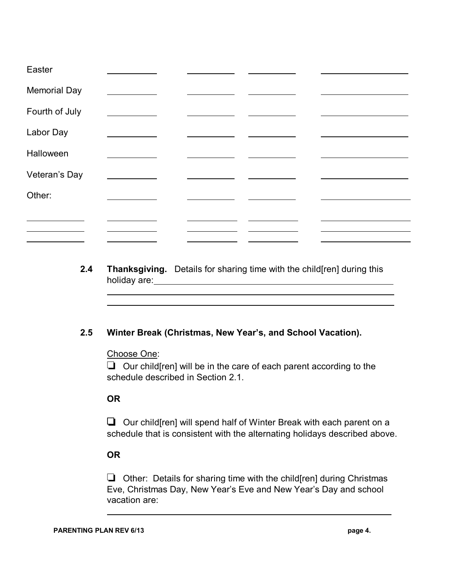| Easter              |  |  |
|---------------------|--|--|
| <b>Memorial Day</b> |  |  |
| Fourth of July      |  |  |
| Labor Day           |  |  |
| Halloween           |  |  |
| Veteran's Day       |  |  |
| Other:              |  |  |
|                     |  |  |
|                     |  |  |

**2.4 Thanksgiving.** Details for sharing time with the child[ren] during this holiday are:

### **2.5 Winter Break (Christmas, New Year's, and School Vacation).**

Choose One:

 $\Box$  Our child[ren] will be in the care of each parent according to the schedule described in Section 2.1.

### **OR**

 $\overline{a}$ 

 $\Box$  Our child [ren] will spend half of Winter Break with each parent on a schedule that is consistent with the alternating holidays described above.

### **OR**

 $\Box$  Other: Details for sharing time with the child[ren] during Christmas Eve, Christmas Day, New Year's Eve and New Year's Day and school vacation are:

 $\overline{a}$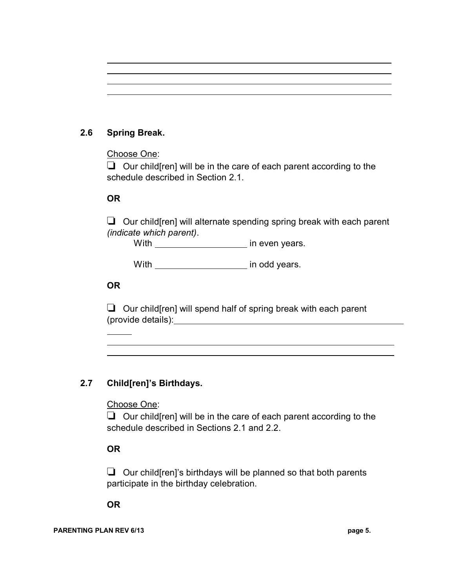# **2.6 Spring Break.**

 $\overline{a}$ 

### Choose One:

 $\Box$  Our child[ren] will be in the care of each parent according to the schedule described in Section 2.1.

### **OR**

 $\Box$  Our child [ren] will alternate spending spring break with each parent *(indicate which parent)*.

With in even years.

With \_\_\_\_\_\_\_\_\_\_\_\_\_\_\_\_\_\_\_\_\_\_\_\_ in odd years.

### **OR**

 $\overline{a}$  $\overline{a}$ 

 $\Box$  Our child [ren] will spend half of spring break with each parent (provide details):

# **2.7 Child[ren]'s Birthdays.**

### Choose One:

 $\Box$  Our child [ren] will be in the care of each parent according to the schedule described in Sections 2.1 and 2.2.

# **OR**

 $\Box$  Our child [ren]'s birthdays will be planned so that both parents participate in the birthday celebration.

**OR**

#### PARENTING PLAN REV 6/13 *page 5.*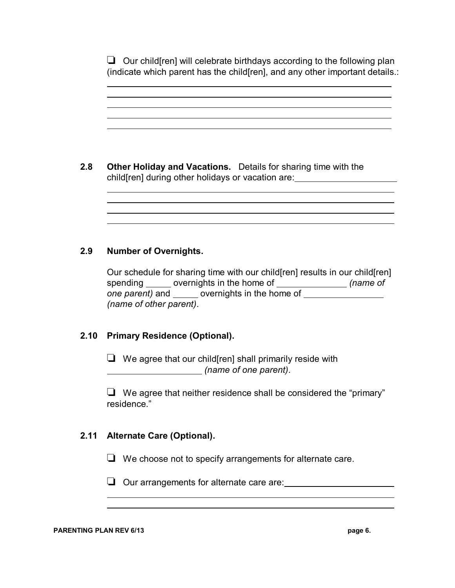$\Box$  Our child [ren] will celebrate birthdays according to the following plan (indicate which parent has the child[ren], and any other important details.:

| 2.8 |                                                   | <b>Other Holiday and Vacations.</b> Details for sharing time with the |
|-----|---------------------------------------------------|-----------------------------------------------------------------------|
|     | child[ren] during other holidays or vacation are: |                                                                       |

#### **2.9 Number of Overnights.**

 $\overline{a}$ 

 $\overline{a}$ 

Our schedule for sharing time with our child[ren] results in our child[ren] spending \_\_\_\_\_\_ overnights in the home of \_\_\_\_\_\_\_\_\_\_\_\_\_*\_\_ (name of one parent)* and \_\_\_\_\_ overnights in the home of *(name of other parent)*.

### **2.10 Primary Residence (Optional).**

 $\Box$  We agree that our child [ren] shall primarily reside with *(name of one parent)*.

 $\Box$  We agree that neither residence shall be considered the "primary" residence."

### **2.11 Alternate Care (Optional).**

 $\Box$  We choose not to specify arrangements for alternate care.

 $\Box$  Our arrangements for alternate care are:

 $\overline{a}$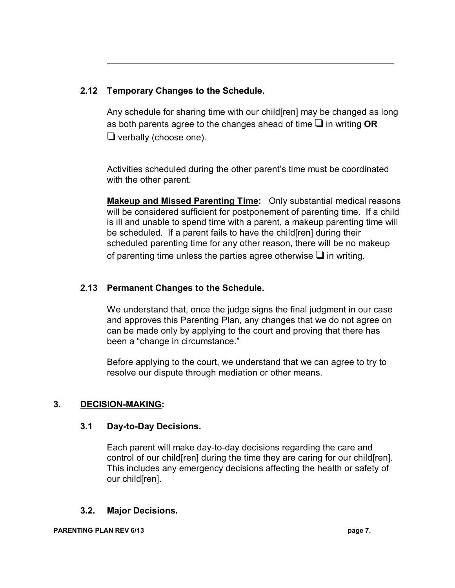### **2.12 Temporary Changes to the Schedule.**

Any schedule for sharing time with our child[ren] may be changed as long as both parents agree to the changes ahead of time  $\Box$  in writing **OR**  $\Box$  verbally (choose one).

Activities scheduled during the other parent's time must be coordinated with the other parent.

**Makeup and Missed Parenting Time:** Only substantial medical reasons will be considered sufficient for postponement of parenting time. If a child is ill and unable to spend time with a parent, a makeup parenting time will be scheduled. If a parent fails to have the child[ren] during their scheduled parenting time for any other reason, there will be no makeup of parenting time unless the parties agree otherwise  $\Box$  in writing.

### **2.13 Permanent Changes to the Schedule.**

We understand that, once the judge signs the final judgment in our case and approves this Parenting Plan, any changes that we do not agree on can be made only by applying to the court and proving that there has been a "change in circumstance."

Before applying to the court, we understand that we can agree to try to resolve our dispute through mediation or other means.

### **3. DECISION-MAKING:**

 $\overline{a}$ 

### **3.1 Day-to-Day Decisions.**

Each parent will make day-to-day decisions regarding the care and control of our child[ren] during the time they are caring for our child[ren]. This includes any emergency decisions affecting the health or safety of our child[ren].

### **3.2. Major Decisions.**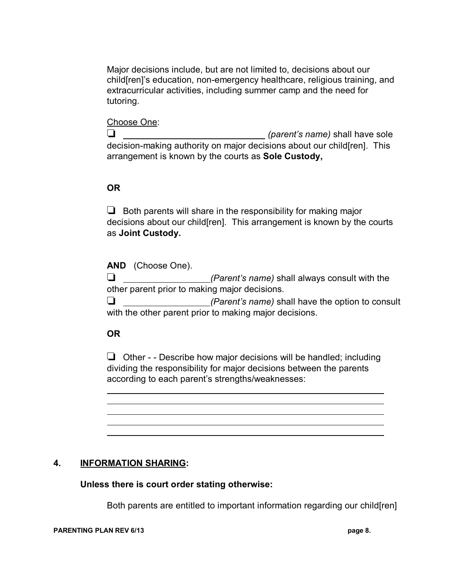Major decisions include, but are not limited to, decisions about our child[ren]'s education, non-emergency healthcare, religious training, and extracurricular activities, including summer camp and the need for tutoring.

#### Choose One:

 *(parent's name)* shall have sole decision-making authority on major decisions about our child[ren]. This arrangement is known by the courts as **Sole Custody,**

### **OR**

 $\Box$  Both parents will share in the responsibility for making major decisions about our child[ren]. This arrangement is known by the courts as **Joint Custody.**

**AND** (Choose One). *(Parent's name)* shall always consult with the other parent prior to making major decisions. *(Parent's name)* shall have the option to consult with the other parent prior to making major decisions.

### **OR**

 $\overline{a}$ 

 $\Box$  Other - - Describe how major decisions will be handled; including dividing the responsibility for major decisions between the parents according to each parent's strengths/weaknesses:

### **4. INFORMATION SHARING:**

**Unless there is court order stating otherwise:**

Both parents are entitled to important information regarding our child[ren]

#### **PARENTING PLAN REV 6/13 page 8.**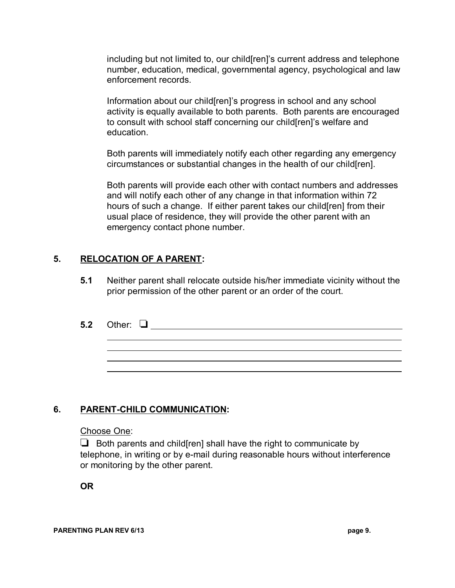including but not limited to, our child[ren]'s current address and telephone number, education, medical, governmental agency, psychological and law enforcement records.

Information about our child[ren]'s progress in school and any school activity is equally available to both parents. Both parents are encouraged to consult with school staff concerning our child[ren]'s welfare and education.

Both parents will immediately notify each other regarding any emergency circumstances or substantial changes in the health of our child[ren].

Both parents will provide each other with contact numbers and addresses and will notify each other of any change in that information within 72 hours of such a change. If either parent takes our child[ren] from their usual place of residence, they will provide the other parent with an emergency contact phone number.

### **5. RELOCATION OF A PARENT:**

- **5.1** Neither parent shall relocate outside his/her immediate vicinity without the prior permission of the other parent or an order of the court.
- **5.2** Other:  $\overline{a}$

# **6. PARENT-CHILD COMMUNICATION:**

### Choose One:

 $\Box$  Both parents and child [ren] shall have the right to communicate by telephone, in writing or by e-mail during reasonable hours without interference or monitoring by the other parent.

**OR**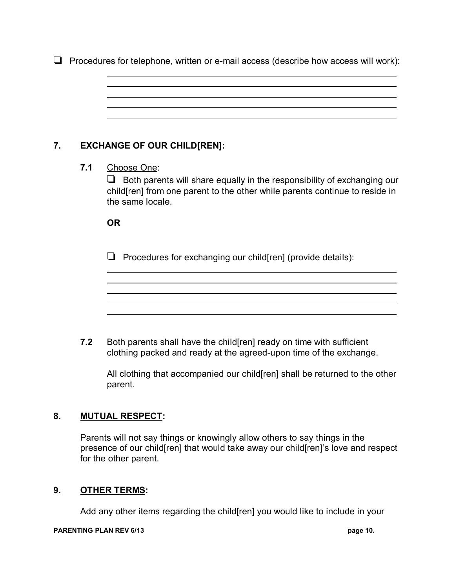$\Box$  Procedures for telephone, written or e-mail access (describe how access will work):



All clothing that accompanied our child[ren] shall be returned to the other parent.

### **8. MUTUAL RESPECT:**

Parents will not say things or knowingly allow others to say things in the presence of our child[ren] that would take away our child[ren]'s love and respect for the other parent.

### **9. OTHER TERMS:**

Add any other items regarding the child[ren] you would like to include in your

#### **PARENTING PLAN REV 6/13 page 10. page 10.**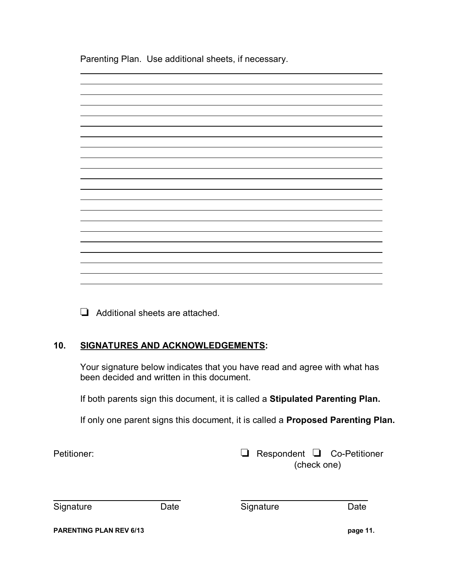Parenting Plan. Use additional sheets, if necessary.



 $\Box$  Additional sheets are attached.

### **10. SIGNATURES AND ACKNOWLEDGEMENTS:**

Your signature below indicates that you have read and agree with what has been decided and written in this document.

If both parents sign this document, it is called a **Stipulated Parenting Plan.**

If only one parent signs this document, it is called a **Proposed Parenting Plan.**

Petitioner: 
Respondent  $\Box$  
Respondent  $\Box$  
Co-Petitioner (check one)

| Signature |
|-----------|
|-----------|

 $\overline{a}$ 

Date Signature Date

**PARENTING PLAN REV 6/13 page 11.**